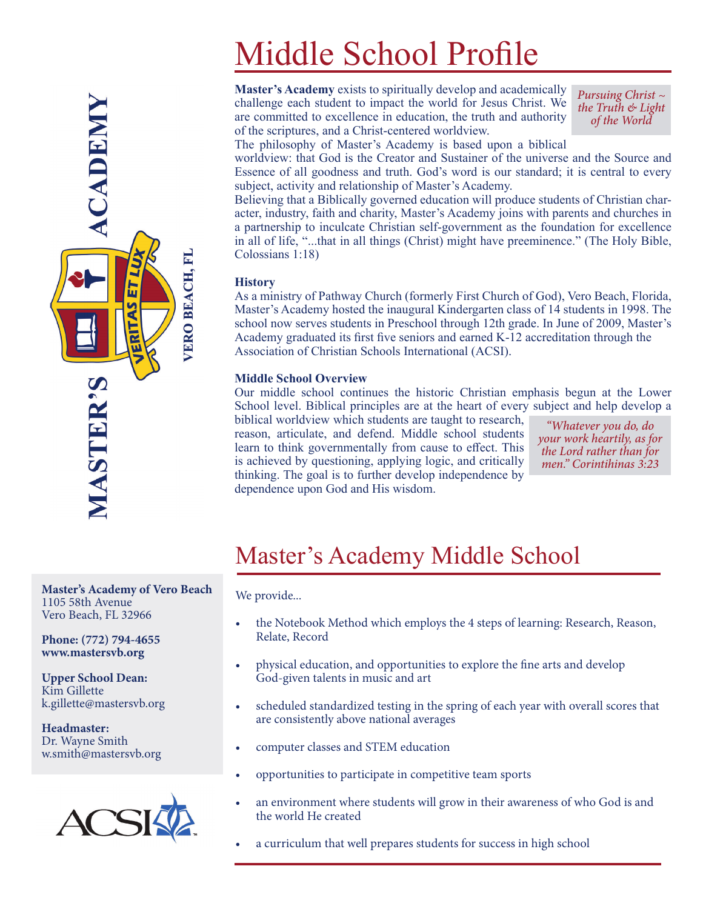# Middle School Profile

**Master's Academy** exists to spiritually develop and academically challenge each student to impact the world for Jesus Christ. We are committed to excellence in education, the truth and authority of the scriptures, and a Christ-centered worldview.

*Pursuing Christ ~ the Truth & Light of the World*

The philosophy of Master's Academy is based upon a biblical

worldview: that God is the Creator and Sustainer of the universe and the Source and Essence of all goodness and truth. God's word is our standard; it is central to every subject, activity and relationship of Master's Academy.

Believing that a Biblically governed education will produce students of Christian character, industry, faith and charity, Master's Academy joins with parents and churches in a partnership to inculcate Christian self-government as the foundation for excellence in all of life, "...that in all things (Christ) might have preeminence." (The Holy Bible, Colossians 1:18)

#### **History**

As a ministry of Pathway Church (formerly First Church of God), Vero Beach, Florida, Master's Academy hosted the inaugural Kindergarten class of 14 students in 1998. The school now serves students in Preschool through 12th grade. In June of 2009, Master's Academy graduated its first five seniors and earned K-12 accreditation through the Association of Christian Schools International (ACSI).

#### **Middle School Overview**

Our middle school continues the historic Christian emphasis begun at the Lower School level. Biblical principles are at the heart of every subject and help develop a

biblical worldview which students are taught to research, reason, articulate, and defend. Middle school students learn to think governmentally from cause to effect. This is achieved by questioning, applying logic, and critically thinking. The goal is to further develop independence by dependence upon God and His wisdom.

*"Whatever you do, do your work heartily, as for the Lord rather than for men." Corintihinas 3:23*

### Master's Academy Middle School

We provide...

- the Notebook Method which employs the 4 steps of learning: Research, Reason, Relate, Record
- physical education, and opportunities to explore the fine arts and develop God-given talents in music and art
- scheduled standardized testing in the spring of each year with overall scores that are consistently above national averages
- computer classes and STEM education
- opportunities to participate in competitive team sports
- an environment where students will grow in their awareness of who God is and the world He created
- a curriculum that well prepares students for success in high school

**Master's Academy of Vero Beach** 1105 58th Avenue Vero Beach, FL 32966

**Phone: (772) 794-4655 www.mastersvb.org**

**Upper School Dean:** Kim Gillette k.gillette@mastersvb.org

**Headmaster:** Dr. Wayne Smith w.smith@mastersvb.org